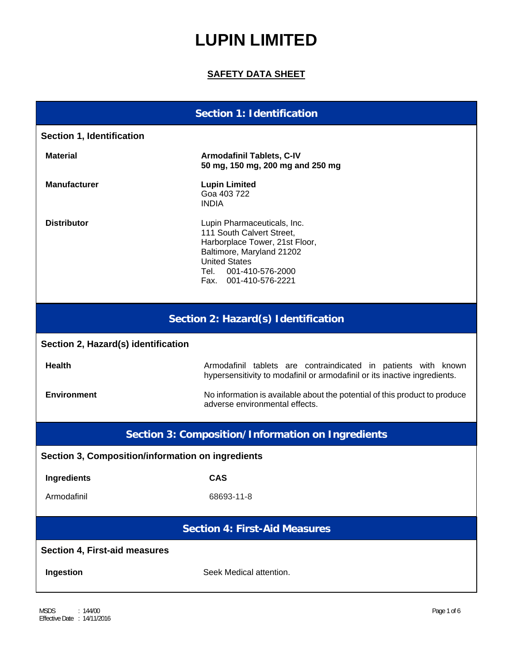# **LUPIN LIMITED**

## **SAFETY DATA SHEET**

# **Section 1: Identification Section 1, Identification Material Material Armodafinil Tablets, C-IV 50 mg, 150 mg, 200 mg and 250 mg Manufacturer Communist Communist Lupin Limited** Goa 403 722 INDIA **Distributor Contract Contract Contract Lupin Pharmaceuticals, Inc.** 111 South Calvert Street, Harborplace Tower, 21st Floor, Baltimore, Maryland 21202 United States Tel. 001-410-576-2000 Fax. 001-410-576-2221 **Section 2: Hazard(s) Identification Section 2, Hazard(s) identification Health Armodafinil tablets** are contraindicated in patients with known hypersensitivity to modafinil or armodafinil or its inactive ingredients. **Environment Environment No information is available about the potential of this product to produce** adverse environmental effects. **Section 3: Composition/Information on Ingredients Section 3, Composition/information on ingredients Ingredients CAS**

Armodafinil 68693-11-8

### **Section 4: First-Aid Measures**

### **Section 4, First-aid measures**

**Ingestion** Seek Medical attention.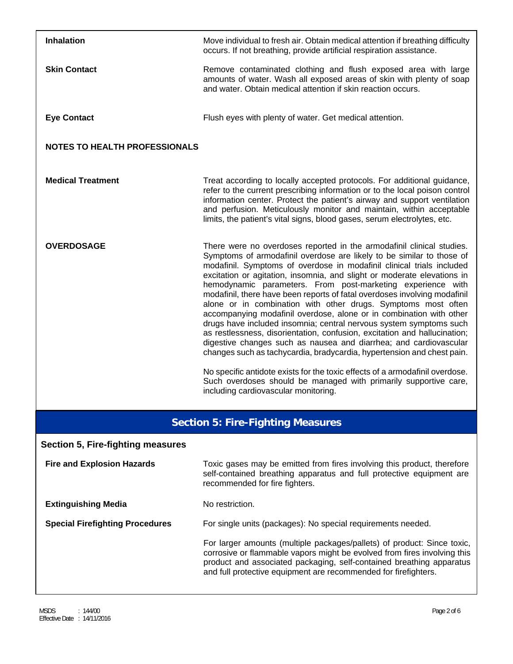| <b>Inhalation</b>                        | Move individual to fresh air. Obtain medical attention if breathing difficulty<br>occurs. If not breathing, provide artificial respiration assistance.                                                                                                                                                                                                                                                                                                                                                                                                                                                                                                                                                                                                                                                                                                                                                                                                                                                                                                                               |  |  |
|------------------------------------------|--------------------------------------------------------------------------------------------------------------------------------------------------------------------------------------------------------------------------------------------------------------------------------------------------------------------------------------------------------------------------------------------------------------------------------------------------------------------------------------------------------------------------------------------------------------------------------------------------------------------------------------------------------------------------------------------------------------------------------------------------------------------------------------------------------------------------------------------------------------------------------------------------------------------------------------------------------------------------------------------------------------------------------------------------------------------------------------|--|--|
| <b>Skin Contact</b>                      | Remove contaminated clothing and flush exposed area with large<br>amounts of water. Wash all exposed areas of skin with plenty of soap<br>and water. Obtain medical attention if skin reaction occurs.                                                                                                                                                                                                                                                                                                                                                                                                                                                                                                                                                                                                                                                                                                                                                                                                                                                                               |  |  |
| <b>Eye Contact</b>                       | Flush eyes with plenty of water. Get medical attention.                                                                                                                                                                                                                                                                                                                                                                                                                                                                                                                                                                                                                                                                                                                                                                                                                                                                                                                                                                                                                              |  |  |
| <b>NOTES TO HEALTH PROFESSIONALS</b>     |                                                                                                                                                                                                                                                                                                                                                                                                                                                                                                                                                                                                                                                                                                                                                                                                                                                                                                                                                                                                                                                                                      |  |  |
| <b>Medical Treatment</b>                 | Treat according to locally accepted protocols. For additional guidance,<br>refer to the current prescribing information or to the local poison control<br>information center. Protect the patient's airway and support ventilation<br>and perfusion. Meticulously monitor and maintain, within acceptable<br>limits, the patient's vital signs, blood gases, serum electrolytes, etc.                                                                                                                                                                                                                                                                                                                                                                                                                                                                                                                                                                                                                                                                                                |  |  |
| <b>OVERDOSAGE</b>                        | There were no overdoses reported in the armodafinil clinical studies.<br>Symptoms of armodafinil overdose are likely to be similar to those of<br>modafinil. Symptoms of overdose in modafinil clinical trials included<br>excitation or agitation, insomnia, and slight or moderate elevations in<br>hemodynamic parameters. From post-marketing experience with<br>modafinil, there have been reports of fatal overdoses involving modafinil<br>alone or in combination with other drugs. Symptoms most often<br>accompanying modafinil overdose, alone or in combination with other<br>drugs have included insomnia; central nervous system symptoms such<br>as restlessness, disorientation, confusion, excitation and hallucination;<br>digestive changes such as nausea and diarrhea; and cardiovascular<br>changes such as tachycardia, bradycardia, hypertension and chest pain.<br>No specific antidote exists for the toxic effects of a armodafinil overdose.<br>Such overdoses should be managed with primarily supportive care,<br>including cardiovascular monitoring. |  |  |
| <b>Section 5: Fire-Fighting Measures</b> |                                                                                                                                                                                                                                                                                                                                                                                                                                                                                                                                                                                                                                                                                                                                                                                                                                                                                                                                                                                                                                                                                      |  |  |
| Section 5, Fire-fighting measures        |                                                                                                                                                                                                                                                                                                                                                                                                                                                                                                                                                                                                                                                                                                                                                                                                                                                                                                                                                                                                                                                                                      |  |  |
| <b>Fire and Explosion Hazards</b>        | Toxic gases may be emitted from fires involving this product, therefore<br>self-contained breathing apparatus and full protective equipment are                                                                                                                                                                                                                                                                                                                                                                                                                                                                                                                                                                                                                                                                                                                                                                                                                                                                                                                                      |  |  |

self-contained breathing apparatus and full protective equipment recommended for fire fighters.

# **Extinguishing Media** No restriction.

**Special Firefighting Procedures** For single units (packages): No special requirements needed.

 For larger amounts (multiple packages/pallets) of product: Since toxic, corrosive or flammable vapors might be evolved from fires involving this product and associated packaging, self-contained breathing apparatus and full protective equipment are recommended for firefighters.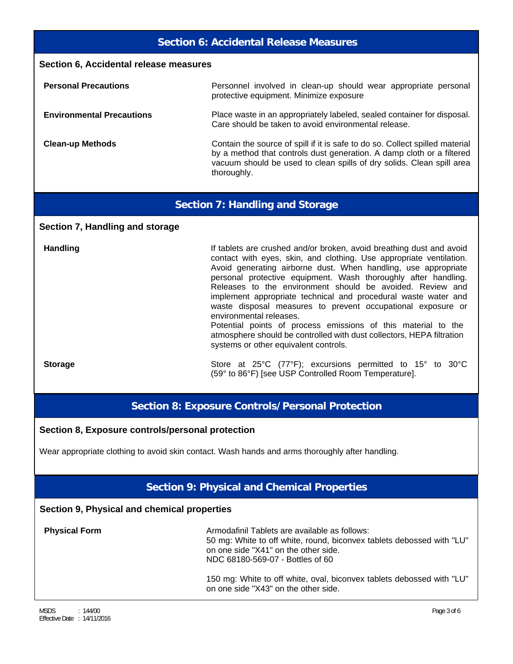### **Section 6: Accidental Release Measures**

| Section 6, Accidental release measures |                                                                                                                                                                                                                                               |  |  |  |
|----------------------------------------|-----------------------------------------------------------------------------------------------------------------------------------------------------------------------------------------------------------------------------------------------|--|--|--|
| <b>Personal Precautions</b>            | Personnel involved in clean-up should wear appropriate personal<br>protective equipment. Minimize exposure                                                                                                                                    |  |  |  |
| <b>Environmental Precautions</b>       | Place waste in an appropriately labeled, sealed container for disposal.<br>Care should be taken to avoid environmental release.                                                                                                               |  |  |  |
| <b>Clean-up Methods</b>                | Contain the source of spill if it is safe to do so. Collect spilled material<br>by a method that controls dust generation. A damp cloth or a filtered<br>vacuum should be used to clean spills of dry solids. Clean spill area<br>thoroughly. |  |  |  |

### **Section 7: Handling and Storage**

#### **Section 7, Handling and storage**

Handling **Handling If tablets are crushed and/or broken, avoid breathing dust and avoid breathing** contact with eyes, skin, and clothing. Use appropriate ventilation. Avoid generating airborne dust. When handling, use appropriate personal protective equipment. Wash thoroughly after handling. Releases to the environment should be avoided. Review and implement appropriate technical and procedural waste water and waste disposal measures to prevent occupational exposure or environmental releases. Potential points of process emissions of this material to the atmosphere should be controlled with dust collectors, HEPA filtration

**Storage** Store at 25°C (77°F); excursions permitted to 15° to 30°C (59° to 86°F) [see USP Controlled Room Temperature].

### **Section 8: Exposure Controls/Personal Protection**

systems or other equivalent controls.

#### **Section 8, Exposure controls/personal protection**

Wear appropriate clothing to avoid skin contact. Wash hands and arms thoroughly after handling.

### **Section 9: Physical and Chemical Properties**

### **Section 9, Physical and chemical properties**

**Physical Form Armodafinil Tablets are available as follows:** 50 mg: White to off white, round, biconvex tablets debossed with "LU" on one side "X41" on the other side. NDC 68180-569-07 - Bottles of 60

> 150 mg: White to off white, oval, biconvex tablets debossed with "LU" on one side "X43" on the other side.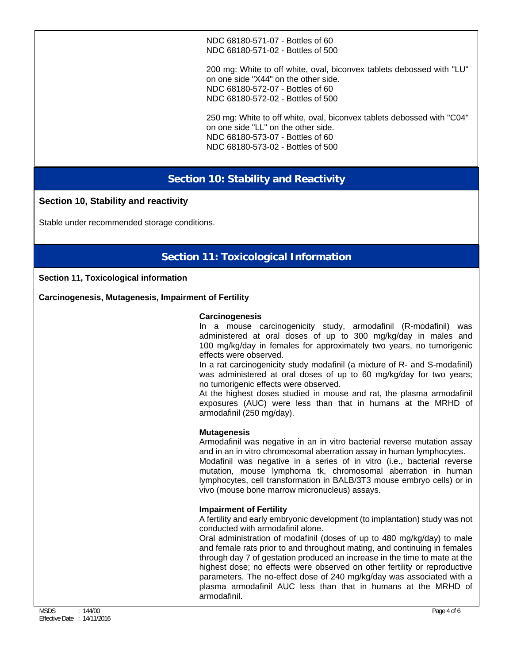NDC 68180-571-07 - Bottles of 60 NDC 68180-571-02 - Bottles of 500

200 mg: White to off white, oval, biconvex tablets debossed with "LU" on one side "X44" on the other side. NDC 68180-572-07 - Bottles of 60 NDC 68180-572-02 - Bottles of 500

250 mg: White to off white, oval, biconvex tablets debossed with "C04" on one side "LL" on the other side. NDC 68180-573-07 - Bottles of 60 NDC 68180-573-02 - Bottles of 500

# **Section 10: Stability and Reactivity**

### **Section 10, Stability and reactivity**

Stable under recommended storage conditions.

# **Section 11: Toxicological Information**

#### **Section 11, Toxicological information**

**Carcinogenesis, Mutagenesis, Impairment of Fertility** 

#### **Carcinogenesis**

In a mouse carcinogenicity study, armodafinil (R-modafinil) was administered at oral doses of up to 300 mg/kg/day in males and 100 mg/kg/day in females for approximately two years, no tumorigenic effects were observed.

In a rat carcinogenicity study modafinil (a mixture of R- and S-modafinil) was administered at oral doses of up to 60 mg/kg/day for two years; no tumorigenic effects were observed.

At the highest doses studied in mouse and rat, the plasma armodafinil exposures (AUC) were less than that in humans at the MRHD of armodafinil (250 mg/day).

#### **Mutagenesis**

Armodafinil was negative in an in vitro bacterial reverse mutation assay and in an in vitro chromosomal aberration assay in human lymphocytes.

Modafinil was negative in a series of in vitro (i.e., bacterial reverse mutation, mouse lymphoma tk, chromosomal aberration in human lymphocytes, cell transformation in BALB/3T3 mouse embryo cells) or in vivo (mouse bone marrow micronucleus) assays.

### **Impairment of Fertility**

A fertility and early embryonic development (to implantation) study was not conducted with armodafinil alone.

Oral administration of modafinil (doses of up to 480 mg/kg/day) to male and female rats prior to and throughout mating, and continuing in females through day 7 of gestation produced an increase in the time to mate at the highest dose; no effects were observed on other fertility or reproductive parameters. The no-effect dose of 240 mg/kg/day was associated with a plasma armodafinil AUC less than that in humans at the MRHD of armodafinil.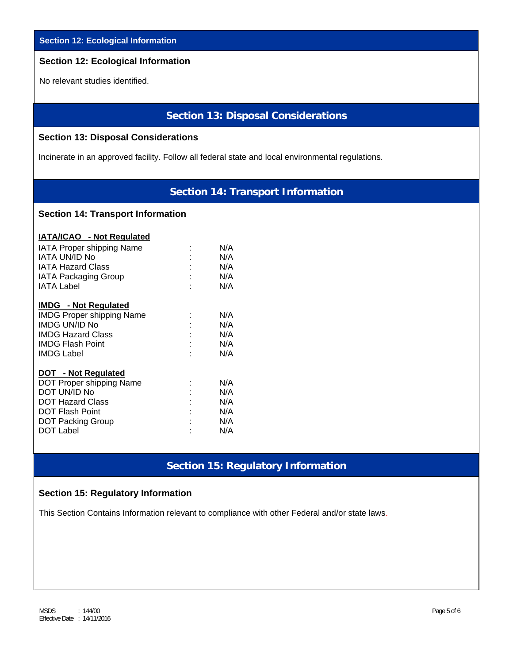|  | <b>Section 12: Ecological Information</b> |
|--|-------------------------------------------|
|  |                                           |

# **Section 12: Ecological Information**

No relevant studies identified.

### **Section 13: Disposal Considerations**

### **Section 13: Disposal Considerations**

Incinerate in an approved facility. Follow all federal state and local environmental regulations.

## **Section 14: Transport Information**

### **Section 14: Transport Information**

| <b>IATA/ICAO</b> - Not Regulated |                            |     |
|----------------------------------|----------------------------|-----|
| <b>IATA Proper shipping Name</b> |                            | N/A |
| IATA UN/ID No                    |                            | N/A |
| <b>IATA Hazard Class</b>         |                            | N/A |
| <b>IATA Packaging Group</b>      | $\mathcal{D}^{\text{max}}$ | N/A |
| IATA Label                       |                            | N/A |
| <b>IMDG</b> - Not Regulated      |                            |     |
| <b>IMDG Proper shipping Name</b> |                            | N/A |
| <b>IMDG UN/ID No</b>             |                            | N/A |
| IMDG Hazard Class                |                            | N/A |
| <b>IMDG Flash Point</b>          |                            | N/A |
| <b>IMDG Label</b>                |                            | N/A |
| <b>DOT - Not Regulated</b>       |                            |     |
| DOT Proper shipping Name         |                            | N/A |
| DOT UN/ID No                     |                            | N/A |
| <b>DOT Hazard Class</b>          |                            | N/A |
| <b>DOT Flash Point</b>           |                            | N/A |
| <b>DOT Packing Group</b>         |                            | N/A |
| <b>DOT Label</b>                 |                            | N/A |

# **Section 15: Regulatory Information**

### **Section 15: Regulatory Information**

This Section Contains Information relevant to compliance with other Federal and/or state laws.